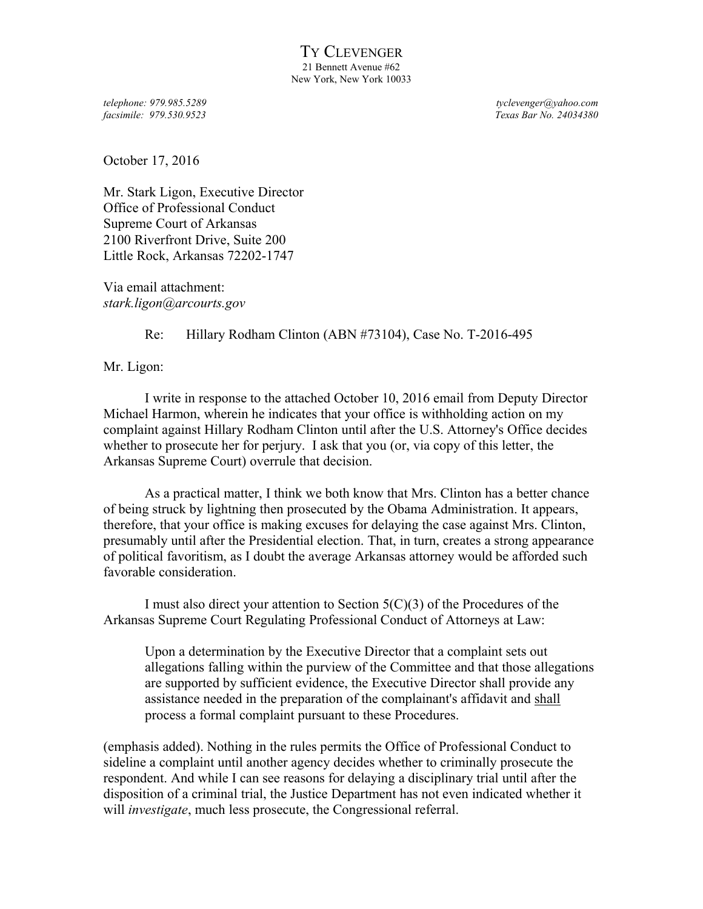*facsimile: 979.530.9523 Texas Bar No. 24034380*

*telephone: 979.985.5289 tyclevenger@yahoo.com*

October 17, 2016

Mr. Stark Ligon, Executive Director Office of Professional Conduct Supreme Court of Arkansas 2100 Riverfront Drive, Suite 200 Little Rock, Arkansas 72202-1747

Via email attachment: *stark.ligon@arcourts.gov*

## Re: Hillary Rodham Clinton (ABN #73104), Case No. T-2016-495

Mr. Ligon:

I write in response to the attached October 10, 2016 email from Deputy Director Michael Harmon, wherein he indicates that your office is withholding action on my complaint against Hillary Rodham Clinton until after the U.S. Attorney's Office decides whether to prosecute her for perjury. I ask that you (or, via copy of this letter, the Arkansas Supreme Court) overrule that decision.

As a practical matter, I think we both know that Mrs. Clinton has a better chance of being struck by lightning then prosecuted by the Obama Administration. It appears, therefore, that your office is making excuses for delaying the case against Mrs. Clinton, presumably until after the Presidential election. That, in turn, creates a strong appearance of political favoritism, as I doubt the average Arkansas attorney would be afforded such favorable consideration.

I must also direct your attention to Section  $5(C)(3)$  of the Procedures of the Arkansas Supreme Court Regulating Professional Conduct of Attorneys at Law:

Upon a determination by the Executive Director that a complaint sets out allegations falling within the purview of the Committee and that those allegations are supported by sufficient evidence, the Executive Director shall provide any assistance needed in the preparation of the complainant's affidavit and shall process a formal complaint pursuant to these Procedures.

(emphasis added). Nothing in the rules permits the Office of Professional Conduct to sideline a complaint until another agency decides whether to criminally prosecute the respondent. And while I can see reasons for delaying a disciplinary trial until after the disposition of a criminal trial, the Justice Department has not even indicated whether it will *investigate*, much less prosecute, the Congressional referral.